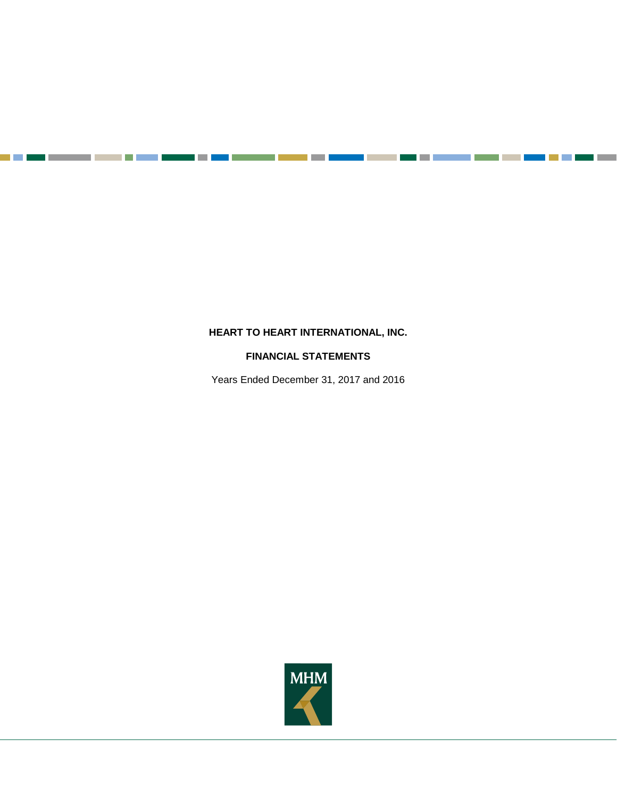**The Contract** 

a pr

# **FINANCIAL STATEMENTS**

Years Ended December 31, 2017 and 2016

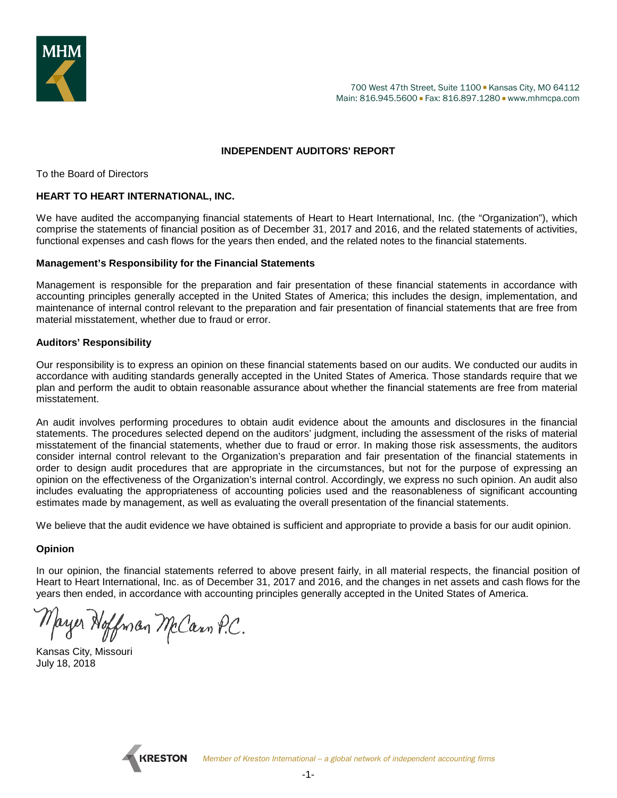

## **INDEPENDENT AUDITORS' REPORT**

To the Board of Directors

### **HEART TO HEART INTERNATIONAL, INC.**

We have audited the accompanying financial statements of Heart to Heart International, Inc. (the "Organization"), which comprise the statements of financial position as of December 31, 2017 and 2016, and the related statements of activities, functional expenses and cash flows for the years then ended, and the related notes to the financial statements.

#### **Management's Responsibility for the Financial Statements**

Management is responsible for the preparation and fair presentation of these financial statements in accordance with accounting principles generally accepted in the United States of America; this includes the design, implementation, and maintenance of internal control relevant to the preparation and fair presentation of financial statements that are free from material misstatement, whether due to fraud or error.

#### **Auditors' Responsibility**

Our responsibility is to express an opinion on these financial statements based on our audits. We conducted our audits in accordance with auditing standards generally accepted in the United States of America. Those standards require that we plan and perform the audit to obtain reasonable assurance about whether the financial statements are free from material misstatement.

An audit involves performing procedures to obtain audit evidence about the amounts and disclosures in the financial statements. The procedures selected depend on the auditors' judgment, including the assessment of the risks of material misstatement of the financial statements, whether due to fraud or error. In making those risk assessments, the auditors consider internal control relevant to the Organization's preparation and fair presentation of the financial statements in order to design audit procedures that are appropriate in the circumstances, but not for the purpose of expressing an opinion on the effectiveness of the Organization's internal control. Accordingly, we express no such opinion. An audit also includes evaluating the appropriateness of accounting policies used and the reasonableness of significant accounting estimates made by management, as well as evaluating the overall presentation of the financial statements.

We believe that the audit evidence we have obtained is sufficient and appropriate to provide a basis for our audit opinion.

#### **Opinion**

In our opinion, the financial statements referred to above present fairly, in all material respects, the financial position of Heart to Heart International, Inc. as of December 31, 2017 and 2016, and the changes in net assets and cash flows for the years then ended, in accordance with accounting principles generally accepted in the United States of America.

Mayer Hoffman McCann P.C.

Kansas City, Missouri July 18, 2018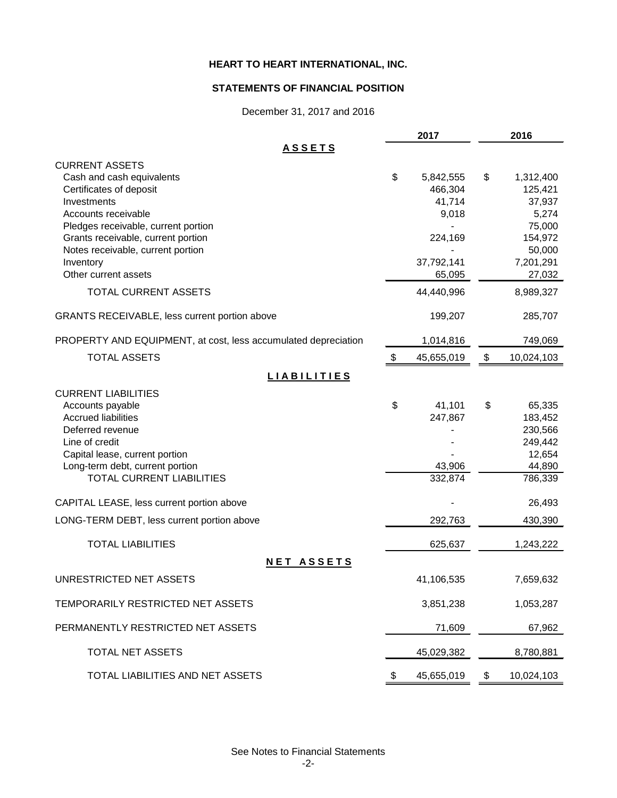### **STATEMENTS OF FINANCIAL POSITION**

December 31, 2017 and 2016

|                                                                     | 2017              | 2016              |
|---------------------------------------------------------------------|-------------------|-------------------|
| <u>ASSETS</u>                                                       |                   |                   |
| <b>CURRENT ASSETS</b><br>Cash and cash equivalents                  | \$<br>5,842,555   | \$<br>1,312,400   |
| Certificates of deposit                                             | 466,304           | 125,421           |
| Investments                                                         | 41,714            | 37,937            |
| Accounts receivable                                                 | 9,018             | 5,274             |
| Pledges receivable, current portion                                 |                   | 75,000            |
| Grants receivable, current portion                                  | 224,169           | 154,972           |
| Notes receivable, current portion                                   |                   | 50,000            |
| Inventory                                                           | 37,792,141        | 7,201,291         |
| Other current assets                                                | 65,095            | 27,032            |
| <b>TOTAL CURRENT ASSETS</b>                                         | 44,440,996        | 8,989,327         |
| GRANTS RECEIVABLE, less current portion above                       | 199,207           | 285,707           |
| PROPERTY AND EQUIPMENT, at cost, less accumulated depreciation      | 1,014,816         | 749,069           |
| <b>TOTAL ASSETS</b>                                                 | \$<br>45,655,019  | \$<br>10,024,103  |
| <b>LIABILITIES</b>                                                  |                   |                   |
| <b>CURRENT LIABILITIES</b>                                          |                   |                   |
| Accounts payable                                                    | \$<br>41,101      | \$<br>65,335      |
| <b>Accrued liabilities</b>                                          | 247,867           | 183,452           |
| Deferred revenue                                                    |                   | 230,566           |
| Line of credit                                                      |                   | 249,442           |
| Capital lease, current portion                                      |                   | 12,654            |
| Long-term debt, current portion<br><b>TOTAL CURRENT LIABILITIES</b> | 43,906<br>332,874 | 44,890<br>786,339 |
|                                                                     |                   |                   |
| CAPITAL LEASE, less current portion above                           |                   | 26,493            |
| LONG-TERM DEBT, less current portion above                          | 292,763           | 430,390           |
| <b>TOTAL LIABILITIES</b>                                            | 625,637           | 1,243,222         |
| <b>NET ASSETS</b>                                                   |                   |                   |
| UNRESTRICTED NET ASSETS                                             | 41,106,535        | 7,659,632         |
| TEMPORARILY RESTRICTED NET ASSETS                                   | 3,851,238         | 1,053,287         |
| PERMANENTLY RESTRICTED NET ASSETS                                   | 71,609            | 67,962            |
| TOTAL NET ASSETS                                                    | 45,029,382        | 8,780,881         |
| TOTAL LIABILITIES AND NET ASSETS                                    | \$<br>45,655,019  | \$<br>10,024,103  |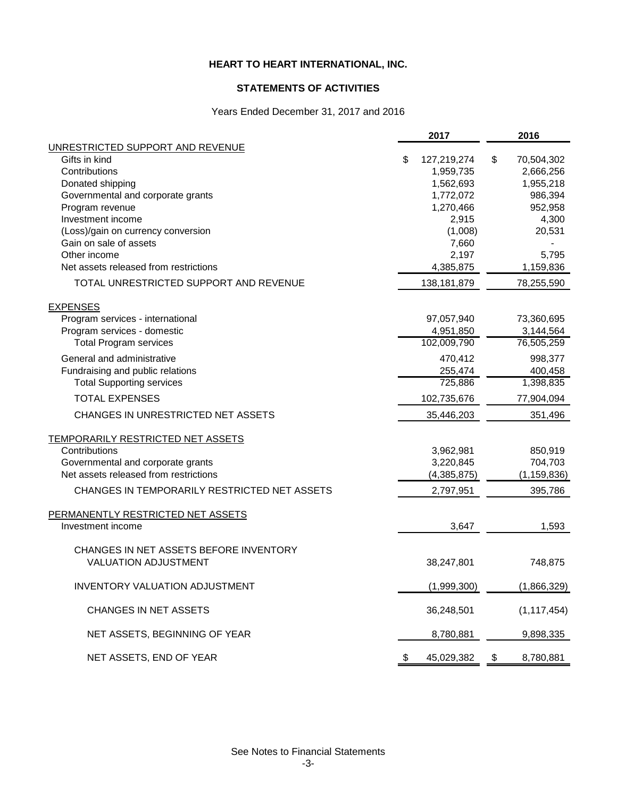# **STATEMENTS OF ACTIVITIES**

# Years Ended December 31, 2017 and 2016

|                                              | 2017                   | 2016                   |
|----------------------------------------------|------------------------|------------------------|
| UNRESTRICTED SUPPORT AND REVENUE             |                        |                        |
| Gifts in kind                                | \$<br>127,219,274      | \$<br>70,504,302       |
| Contributions<br>Donated shipping            | 1,959,735<br>1,562,693 | 2,666,256<br>1,955,218 |
| Governmental and corporate grants            | 1,772,072              | 986,394                |
| Program revenue                              | 1,270,466              | 952,958                |
| Investment income                            | 2,915                  | 4,300                  |
| (Loss)/gain on currency conversion           | (1,008)                | 20,531                 |
| Gain on sale of assets                       | 7,660                  |                        |
| Other income                                 | 2,197                  | 5,795                  |
| Net assets released from restrictions        | 4,385,875              | 1,159,836              |
| TOTAL UNRESTRICTED SUPPORT AND REVENUE       | 138, 181, 879          | 78,255,590             |
| <b>EXPENSES</b>                              |                        |                        |
| Program services - international             | 97,057,940             | 73,360,695             |
| Program services - domestic                  | 4,951,850              | 3,144,564              |
| <b>Total Program services</b>                | 102,009,790            | 76,505,259             |
| General and administrative                   | 470,412                | 998,377                |
| Fundraising and public relations             | 255,474                | 400,458                |
| <b>Total Supporting services</b>             | 725,886                | 1,398,835              |
| <b>TOTAL EXPENSES</b>                        | 102,735,676            | 77,904,094             |
| CHANGES IN UNRESTRICTED NET ASSETS           | 35,446,203             | 351,496                |
| <b>TEMPORARILY RESTRICTED NET ASSETS</b>     |                        |                        |
| Contributions                                | 3,962,981              | 850,919                |
| Governmental and corporate grants            | 3,220,845              | 704,703                |
| Net assets released from restrictions        | (4,385,875)            | (1, 159, 836)          |
| CHANGES IN TEMPORARILY RESTRICTED NET ASSETS | 2,797,951              | 395,786                |
| PERMANENTLY RESTRICTED NET ASSETS            |                        |                        |
| Investment income                            | 3,647                  | 1,593                  |
| CHANGES IN NET ASSETS BEFORE INVENTORY       |                        |                        |
| <b>VALUATION ADJUSTMENT</b>                  | 38,247,801             | 748,875                |
| INVENTORY VALUATION ADJUSTMENT               | (1,999,300)            | (1,866,329)            |
| <b>CHANGES IN NET ASSETS</b>                 | 36,248,501             | (1, 117, 454)          |
| NET ASSETS, BEGINNING OF YEAR                | 8,780,881              | 9,898,335              |
| NET ASSETS, END OF YEAR                      | 45,029,382             | \$<br>8,780,881        |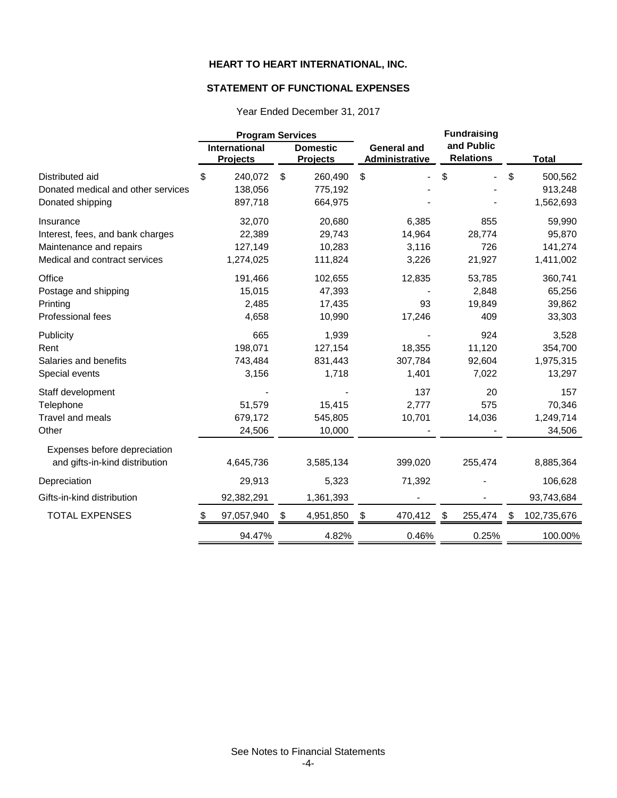## **STATEMENT OF FUNCTIONAL EXPENSES**

|                                                       | <b>Program Services</b>                 |                                      |                                             | <b>Fundraising</b>             |                          |
|-------------------------------------------------------|-----------------------------------------|--------------------------------------|---------------------------------------------|--------------------------------|--------------------------|
|                                                       | <b>International</b><br><b>Projects</b> | <b>Domestic</b><br><b>Projects</b>   | <b>General and</b><br><b>Administrative</b> | and Public<br><b>Relations</b> | <b>Total</b>             |
| Distributed aid<br>Donated medical and other services | \$<br>240,072<br>138,056                | $\mathfrak{S}$<br>260,490<br>775,192 | \$                                          | \$                             | \$<br>500,562<br>913,248 |
| Donated shipping                                      | 897,718                                 | 664,975                              |                                             |                                | 1,562,693                |
| Insurance                                             | 32,070                                  | 20,680                               | 6,385                                       | 855                            | 59,990                   |
| Interest, fees, and bank charges                      | 22,389                                  | 29,743                               | 14,964                                      | 28,774                         | 95,870                   |
| Maintenance and repairs                               | 127,149                                 | 10,283                               | 3,116                                       | 726                            | 141,274                  |
| Medical and contract services                         | 1,274,025                               | 111,824                              | 3,226                                       | 21,927                         | 1,411,002                |
| Office                                                | 191,466                                 | 102,655                              | 12,835                                      | 53,785                         | 360,741                  |
| Postage and shipping                                  | 15,015                                  | 47,393                               |                                             | 2,848                          | 65,256                   |
| Printing                                              | 2,485                                   | 17,435                               | 93                                          | 19,849                         | 39,862                   |
| Professional fees                                     | 4,658                                   | 10,990                               | 17,246                                      | 409                            | 33,303                   |
| Publicity                                             | 665                                     | 1,939                                |                                             | 924                            | 3,528                    |
| Rent                                                  | 198,071                                 | 127,154                              | 18,355                                      | 11,120                         | 354,700                  |
| Salaries and benefits                                 | 743,484                                 | 831,443                              | 307,784                                     | 92,604                         | 1,975,315                |
| Special events                                        | 3,156                                   | 1,718                                | 1,401                                       | 7,022                          | 13,297                   |
| Staff development                                     |                                         |                                      | 137                                         | 20                             | 157                      |
| Telephone                                             | 51,579                                  | 15,415                               | 2,777                                       | 575                            | 70,346                   |
| Travel and meals                                      | 679,172                                 | 545,805                              | 10,701                                      | 14,036                         | 1,249,714                |
| Other                                                 | 24,506                                  | 10,000                               |                                             |                                | 34,506                   |
| Expenses before depreciation                          |                                         |                                      |                                             |                                |                          |
| and gifts-in-kind distribution                        | 4,645,736                               | 3,585,134                            | 399,020                                     | 255,474                        | 8,885,364                |
| Depreciation                                          | 29,913                                  | 5,323                                | 71,392                                      |                                | 106,628                  |
| Gifts-in-kind distribution                            | 92,382,291                              | 1,361,393                            |                                             |                                | 93,743,684               |
| <b>TOTAL EXPENSES</b>                                 | 97,057,940<br>\$                        | 4,951,850<br>-\$                     | 470,412<br>- \$                             | \$<br>255,474                  | 102,735,676<br>S         |
|                                                       | 94.47%                                  | 4.82%                                | 0.46%                                       | 0.25%                          | 100.00%                  |

Year Ended December 31, 2017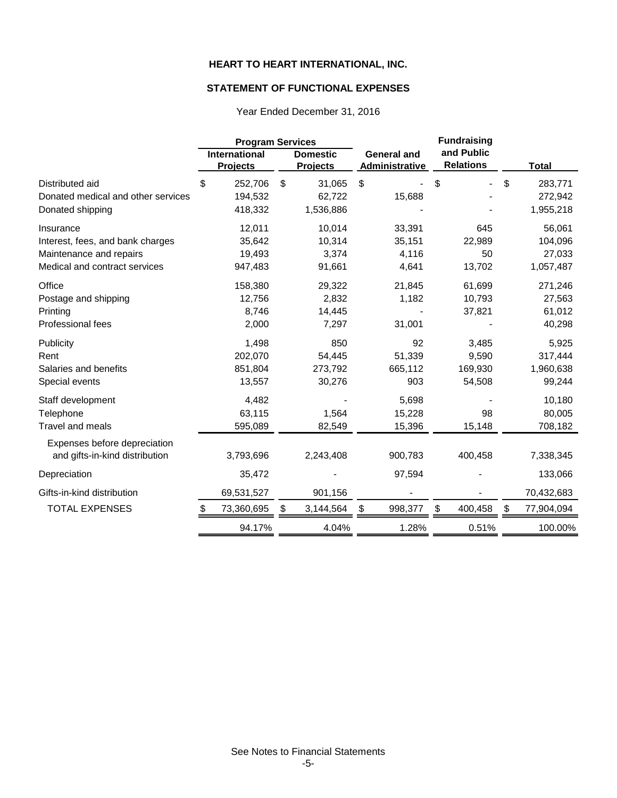## **STATEMENT OF FUNCTIONAL EXPENSES**

|                                    | <b>Program Services</b> |                                         |                           | <b>Fundraising</b>                 |    |                                      |    |                                |    |              |
|------------------------------------|-------------------------|-----------------------------------------|---------------------------|------------------------------------|----|--------------------------------------|----|--------------------------------|----|--------------|
|                                    |                         | <b>International</b><br><b>Projects</b> |                           | <b>Domestic</b><br><b>Projects</b> |    | <b>General and</b><br>Administrative |    | and Public<br><b>Relations</b> |    | <b>Total</b> |
| Distributed aid                    | \$                      | 252,706                                 | $\boldsymbol{\mathsf{S}}$ | 31,065                             | \$ |                                      | \$ |                                | \$ | 283,771      |
| Donated medical and other services |                         | 194,532                                 |                           | 62,722                             |    | 15,688                               |    |                                |    | 272,942      |
| Donated shipping                   |                         | 418,332                                 |                           | 1,536,886                          |    |                                      |    |                                |    | 1,955,218    |
| Insurance                          |                         | 12,011                                  |                           | 10,014                             |    | 33,391                               |    | 645                            |    | 56,061       |
| Interest, fees, and bank charges   |                         | 35,642                                  |                           | 10,314                             |    | 35,151                               |    | 22,989                         |    | 104,096      |
| Maintenance and repairs            |                         | 19,493                                  |                           | 3,374                              |    | 4,116                                |    | 50                             |    | 27,033       |
| Medical and contract services      |                         | 947,483                                 |                           | 91,661                             |    | 4,641                                |    | 13,702                         |    | 1,057,487    |
| Office                             |                         | 158,380                                 |                           | 29,322                             |    | 21,845                               |    | 61,699                         |    | 271,246      |
| Postage and shipping               |                         | 12,756                                  |                           | 2,832                              |    | 1,182                                |    | 10,793                         |    | 27,563       |
| Printing                           |                         | 8,746                                   |                           | 14,445                             |    |                                      |    | 37,821                         |    | 61,012       |
| Professional fees                  |                         | 2,000                                   |                           | 7,297                              |    | 31,001                               |    |                                |    | 40,298       |
| Publicity                          |                         | 1,498                                   |                           | 850                                |    | 92                                   |    | 3,485                          |    | 5,925        |
| Rent                               |                         | 202,070                                 |                           | 54,445                             |    | 51,339                               |    | 9,590                          |    | 317,444      |
| Salaries and benefits              |                         | 851,804                                 |                           | 273,792                            |    | 665,112                              |    | 169,930                        |    | 1,960,638    |
| Special events                     |                         | 13,557                                  |                           | 30,276                             |    | 903                                  |    | 54,508                         |    | 99,244       |
| Staff development                  |                         | 4,482                                   |                           |                                    |    | 5,698                                |    |                                |    | 10,180       |
| Telephone                          |                         | 63,115                                  |                           | 1,564                              |    | 15,228                               |    | 98                             |    | 80,005       |
| <b>Travel and meals</b>            |                         | 595,089                                 |                           | 82,549                             |    | 15,396                               |    | 15,148                         |    | 708,182      |
| Expenses before depreciation       |                         |                                         |                           |                                    |    |                                      |    |                                |    |              |
| and gifts-in-kind distribution     |                         | 3,793,696                               |                           | 2,243,408                          |    | 900,783                              |    | 400,458                        |    | 7,338,345    |
| Depreciation                       |                         | 35,472                                  |                           |                                    |    | 97,594                               |    |                                |    | 133,066      |
| Gifts-in-kind distribution         |                         | 69,531,527                              |                           | 901,156                            |    |                                      |    |                                |    | 70,432,683   |
| <b>TOTAL EXPENSES</b>              | S.                      | 73,360,695                              | \$                        | 3,144,564                          | S  | 998,377                              | \$ | 400,458                        | S  | 77,904,094   |
|                                    |                         | 94.17%                                  |                           | 4.04%                              |    | 1.28%                                |    | 0.51%                          |    | 100.00%      |

Year Ended December 31, 2016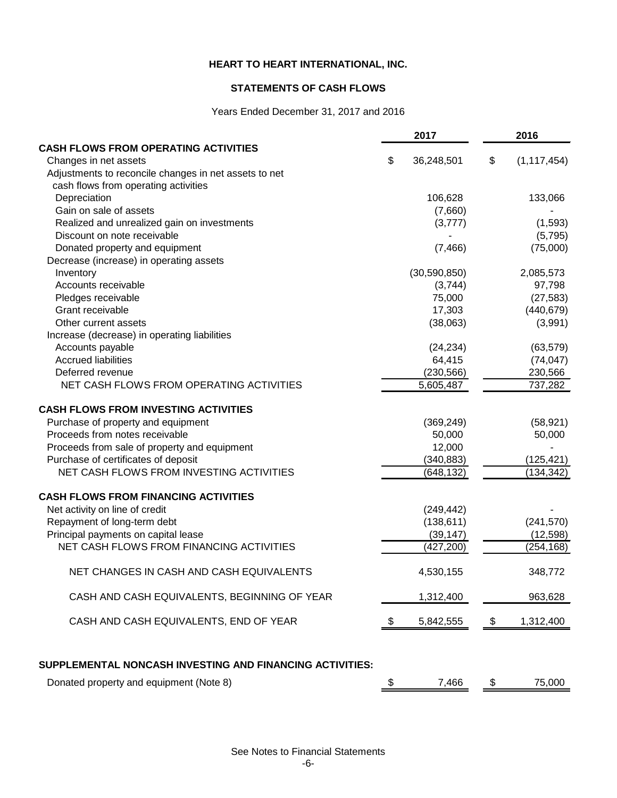### **STATEMENTS OF CASH FLOWS**

# Years Ended December 31, 2017 and 2016

|                                                          | 2017             |                           | 2016          |
|----------------------------------------------------------|------------------|---------------------------|---------------|
| <b>CASH FLOWS FROM OPERATING ACTIVITIES</b>              |                  |                           |               |
| Changes in net assets                                    | \$<br>36,248,501 | \$                        | (1, 117, 454) |
| Adjustments to reconcile changes in net assets to net    |                  |                           |               |
| cash flows from operating activities                     |                  |                           |               |
| Depreciation                                             | 106,628          |                           | 133,066       |
| Gain on sale of assets                                   | (7,660)          |                           |               |
| Realized and unrealized gain on investments              | (3,777)          |                           | (1, 593)      |
| Discount on note receivable                              |                  |                           | (5,795)       |
| Donated property and equipment                           | (7, 466)         |                           | (75,000)      |
| Decrease (increase) in operating assets                  |                  |                           |               |
| Inventory                                                | (30, 590, 850)   |                           | 2,085,573     |
| Accounts receivable                                      | (3,744)          |                           | 97,798        |
| Pledges receivable                                       | 75,000           |                           | (27, 583)     |
| Grant receivable                                         | 17,303           |                           | (440, 679)    |
| Other current assets                                     | (38,063)         |                           | (3,991)       |
| Increase (decrease) in operating liabilities             |                  |                           |               |
| Accounts payable                                         | (24, 234)        |                           | (63, 579)     |
| <b>Accrued liabilities</b>                               | 64,415           |                           | (74, 047)     |
| Deferred revenue                                         | (230, 566)       |                           | 230,566       |
| NET CASH FLOWS FROM OPERATING ACTIVITIES                 | 5,605,487        |                           | 737,282       |
| <b>CASH FLOWS FROM INVESTING ACTIVITIES</b>              |                  |                           |               |
| Purchase of property and equipment                       | (369, 249)       |                           | (58, 921)     |
| Proceeds from notes receivable                           | 50,000           |                           | 50,000        |
| Proceeds from sale of property and equipment             | 12,000           |                           |               |
| Purchase of certificates of deposit                      | (340, 883)       |                           | (125, 421)    |
| NET CASH FLOWS FROM INVESTING ACTIVITIES                 | (648, 132)       |                           | (134, 342)    |
| <b>CASH FLOWS FROM FINANCING ACTIVITIES</b>              |                  |                           |               |
| Net activity on line of credit                           | (249, 442)       |                           |               |
| Repayment of long-term debt                              | (138, 611)       |                           | (241, 570)    |
| Principal payments on capital lease                      | (39, 147)        |                           | (12, 598)     |
| NET CASH FLOWS FROM FINANCING ACTIVITIES                 | (427, 200)       |                           | (254, 168)    |
|                                                          |                  |                           |               |
| NET CHANGES IN CASH AND CASH EQUIVALENTS                 | 4,530,155        |                           | 348,772       |
| CASH AND CASH EQUIVALENTS, BEGINNING OF YEAR             | 1,312,400        |                           | 963,628       |
| CASH AND CASH EQUIVALENTS, END OF YEAR                   | \$<br>5,842,555  | $\boldsymbol{\mathsf{S}}$ | 1,312,400     |
| SUPPLEMENTAL NONCASH INVESTING AND FINANCING ACTIVITIES: |                  |                           |               |
| Donated property and equipment (Note 8)                  | \$<br>7,466      | \$                        | 75,000        |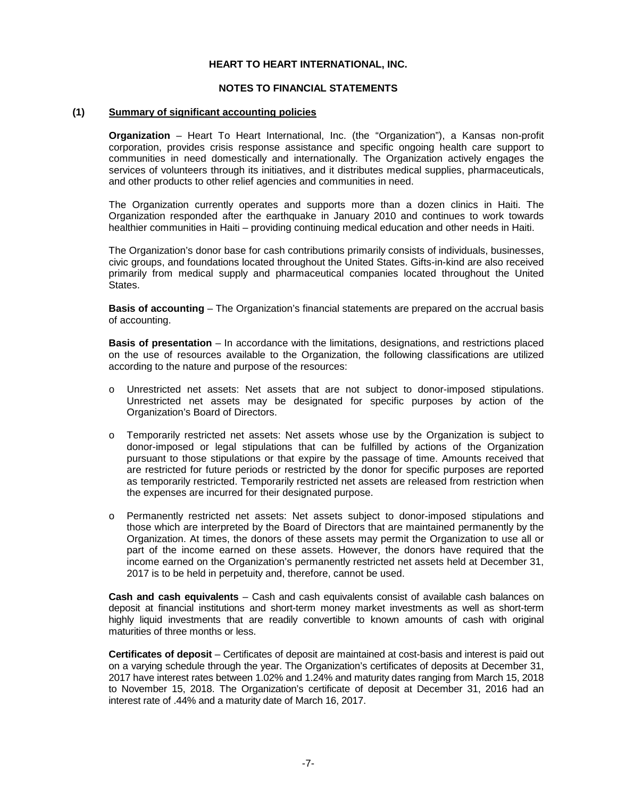#### **NOTES TO FINANCIAL STATEMENTS**

#### **(1) Summary of significant accounting policies**

**Organization** – Heart To Heart International, Inc. (the "Organization"), a Kansas non-profit corporation, provides crisis response assistance and specific ongoing health care support to communities in need domestically and internationally. The Organization actively engages the services of volunteers through its initiatives, and it distributes medical supplies, pharmaceuticals, and other products to other relief agencies and communities in need.

The Organization currently operates and supports more than a dozen clinics in Haiti. The Organization responded after the earthquake in January 2010 and continues to work towards healthier communities in Haiti – providing continuing medical education and other needs in Haiti.

The Organization's donor base for cash contributions primarily consists of individuals, businesses, civic groups, and foundations located throughout the United States. Gifts-in-kind are also received primarily from medical supply and pharmaceutical companies located throughout the United States.

**Basis of accounting** – The Organization's financial statements are prepared on the accrual basis of accounting.

**Basis of presentation** – In accordance with the limitations, designations, and restrictions placed on the use of resources available to the Organization, the following classifications are utilized according to the nature and purpose of the resources:

- o Unrestricted net assets: Net assets that are not subject to donor-imposed stipulations. Unrestricted net assets may be designated for specific purposes by action of the Organization's Board of Directors.
- o Temporarily restricted net assets: Net assets whose use by the Organization is subject to donor-imposed or legal stipulations that can be fulfilled by actions of the Organization pursuant to those stipulations or that expire by the passage of time. Amounts received that are restricted for future periods or restricted by the donor for specific purposes are reported as temporarily restricted. Temporarily restricted net assets are released from restriction when the expenses are incurred for their designated purpose.
- o Permanently restricted net assets: Net assets subject to donor-imposed stipulations and those which are interpreted by the Board of Directors that are maintained permanently by the Organization. At times, the donors of these assets may permit the Organization to use all or part of the income earned on these assets. However, the donors have required that the income earned on the Organization's permanently restricted net assets held at December 31, 2017 is to be held in perpetuity and, therefore, cannot be used.

**Cash and cash equivalents** – Cash and cash equivalents consist of available cash balances on deposit at financial institutions and short-term money market investments as well as short-term highly liquid investments that are readily convertible to known amounts of cash with original maturities of three months or less.

**Certificates of deposit** – Certificates of deposit are maintained at cost-basis and interest is paid out on a varying schedule through the year. The Organization's certificates of deposits at December 31, 2017 have interest rates between 1.02% and 1.24% and maturity dates ranging from March 15, 2018 to November 15, 2018. The Organization's certificate of deposit at December 31, 2016 had an interest rate of .44% and a maturity date of March 16, 2017.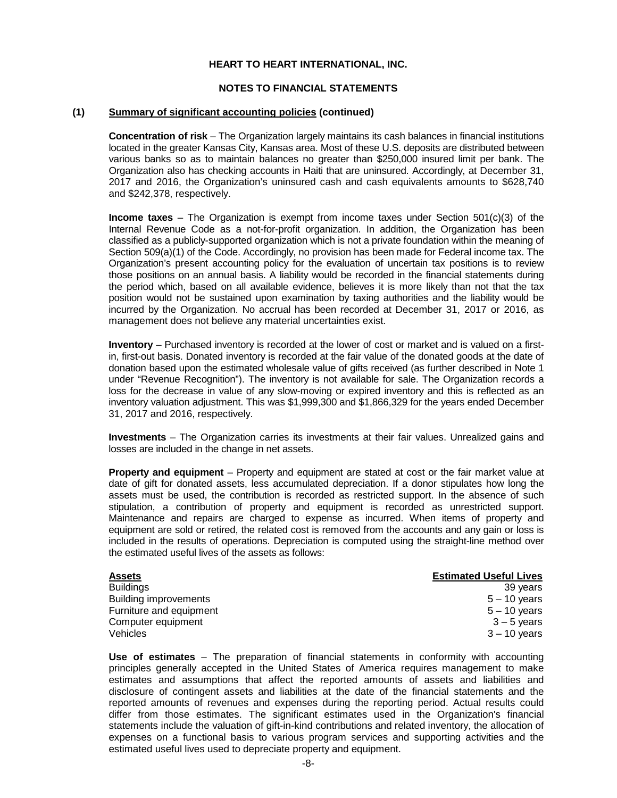#### **NOTES TO FINANCIAL STATEMENTS**

#### **(1) Summary of significant accounting policies (continued)**

**Concentration of risk** – The Organization largely maintains its cash balances in financial institutions located in the greater Kansas City, Kansas area. Most of these U.S. deposits are distributed between various banks so as to maintain balances no greater than \$250,000 insured limit per bank. The Organization also has checking accounts in Haiti that are uninsured. Accordingly, at December 31, 2017 and 2016, the Organization's uninsured cash and cash equivalents amounts to \$628,740 and \$242,378, respectively.

**Income taxes** – The Organization is exempt from income taxes under Section 501(c)(3) of the Internal Revenue Code as a not-for-profit organization. In addition, the Organization has been classified as a publicly-supported organization which is not a private foundation within the meaning of Section 509(a)(1) of the Code. Accordingly, no provision has been made for Federal income tax. The Organization's present accounting policy for the evaluation of uncertain tax positions is to review those positions on an annual basis. A liability would be recorded in the financial statements during the period which, based on all available evidence, believes it is more likely than not that the tax position would not be sustained upon examination by taxing authorities and the liability would be incurred by the Organization. No accrual has been recorded at December 31, 2017 or 2016, as management does not believe any material uncertainties exist.

**Inventory** – Purchased inventory is recorded at the lower of cost or market and is valued on a firstin, first-out basis. Donated inventory is recorded at the fair value of the donated goods at the date of donation based upon the estimated wholesale value of gifts received (as further described in Note 1 under "Revenue Recognition"). The inventory is not available for sale. The Organization records a loss for the decrease in value of any slow-moving or expired inventory and this is reflected as an inventory valuation adjustment. This was \$1,999,300 and \$1,866,329 for the years ended December 31, 2017 and 2016, respectively.

**Investments** – The Organization carries its investments at their fair values. Unrealized gains and losses are included in the change in net assets.

**Property and equipment** – Property and equipment are stated at cost or the fair market value at date of gift for donated assets, less accumulated depreciation. If a donor stipulates how long the assets must be used, the contribution is recorded as restricted support. In the absence of such stipulation, a contribution of property and equipment is recorded as unrestricted support. Maintenance and repairs are charged to expense as incurred. When items of property and equipment are sold or retired, the related cost is removed from the accounts and any gain or loss is included in the results of operations. Depreciation is computed using the straight-line method over the estimated useful lives of the assets as follows:

| <b>Assets</b>           | <b>Estimated Useful Lives</b> |
|-------------------------|-------------------------------|
| <b>Buildings</b>        | 39 years                      |
| Building improvements   | $5 - 10$ years                |
| Furniture and equipment | $5 - 10$ years                |
| Computer equipment      | $3 - 5$ years                 |
| Vehicles                | $3 - 10$ vears                |

**Use of estimates** – The preparation of financial statements in conformity with accounting principles generally accepted in the United States of America requires management to make estimates and assumptions that affect the reported amounts of assets and liabilities and disclosure of contingent assets and liabilities at the date of the financial statements and the reported amounts of revenues and expenses during the reporting period. Actual results could differ from those estimates. The significant estimates used in the Organization's financial statements include the valuation of gift-in-kind contributions and related inventory, the allocation of expenses on a functional basis to various program services and supporting activities and the estimated useful lives used to depreciate property and equipment.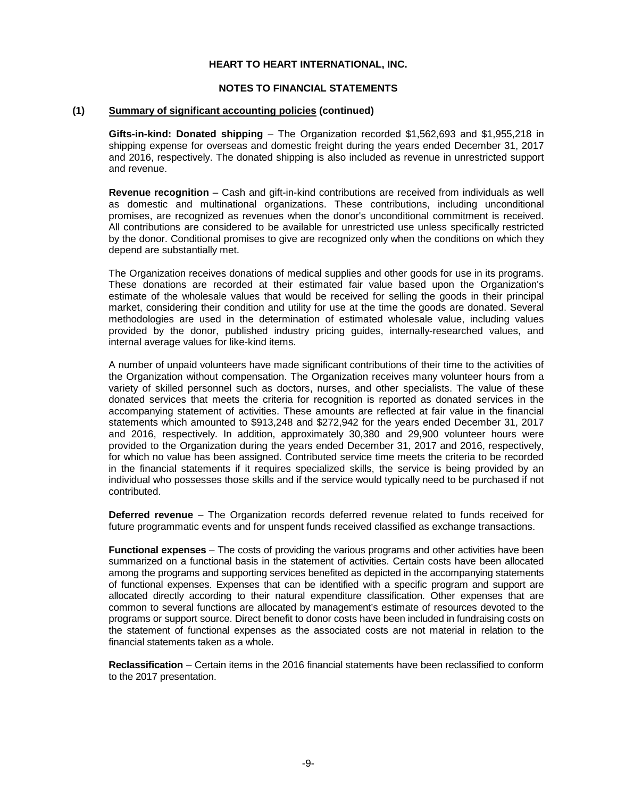#### **NOTES TO FINANCIAL STATEMENTS**

#### **(1) Summary of significant accounting policies (continued)**

**Gifts-in-kind: Donated shipping** – The Organization recorded \$1,562,693 and \$1,955,218 in shipping expense for overseas and domestic freight during the years ended December 31, 2017 and 2016, respectively. The donated shipping is also included as revenue in unrestricted support and revenue.

**Revenue recognition** – Cash and gift-in-kind contributions are received from individuals as well as domestic and multinational organizations. These contributions, including unconditional promises, are recognized as revenues when the donor's unconditional commitment is received. All contributions are considered to be available for unrestricted use unless specifically restricted by the donor. Conditional promises to give are recognized only when the conditions on which they depend are substantially met.

The Organization receives donations of medical supplies and other goods for use in its programs. These donations are recorded at their estimated fair value based upon the Organization's estimate of the wholesale values that would be received for selling the goods in their principal market, considering their condition and utility for use at the time the goods are donated. Several methodologies are used in the determination of estimated wholesale value, including values provided by the donor, published industry pricing guides, internally-researched values, and internal average values for like-kind items.

A number of unpaid volunteers have made significant contributions of their time to the activities of the Organization without compensation. The Organization receives many volunteer hours from a variety of skilled personnel such as doctors, nurses, and other specialists. The value of these donated services that meets the criteria for recognition is reported as donated services in the accompanying statement of activities. These amounts are reflected at fair value in the financial statements which amounted to \$913,248 and \$272,942 for the years ended December 31, 2017 and 2016, respectively. In addition, approximately 30,380 and 29,900 volunteer hours were provided to the Organization during the years ended December 31, 2017 and 2016, respectively, for which no value has been assigned. Contributed service time meets the criteria to be recorded in the financial statements if it requires specialized skills, the service is being provided by an individual who possesses those skills and if the service would typically need to be purchased if not contributed.

**Deferred revenue** – The Organization records deferred revenue related to funds received for future programmatic events and for unspent funds received classified as exchange transactions.

**Functional expenses** – The costs of providing the various programs and other activities have been summarized on a functional basis in the statement of activities. Certain costs have been allocated among the programs and supporting services benefited as depicted in the accompanying statements of functional expenses. Expenses that can be identified with a specific program and support are allocated directly according to their natural expenditure classification. Other expenses that are common to several functions are allocated by management's estimate of resources devoted to the programs or support source. Direct benefit to donor costs have been included in fundraising costs on the statement of functional expenses as the associated costs are not material in relation to the financial statements taken as a whole.

**Reclassification** – Certain items in the 2016 financial statements have been reclassified to conform to the 2017 presentation.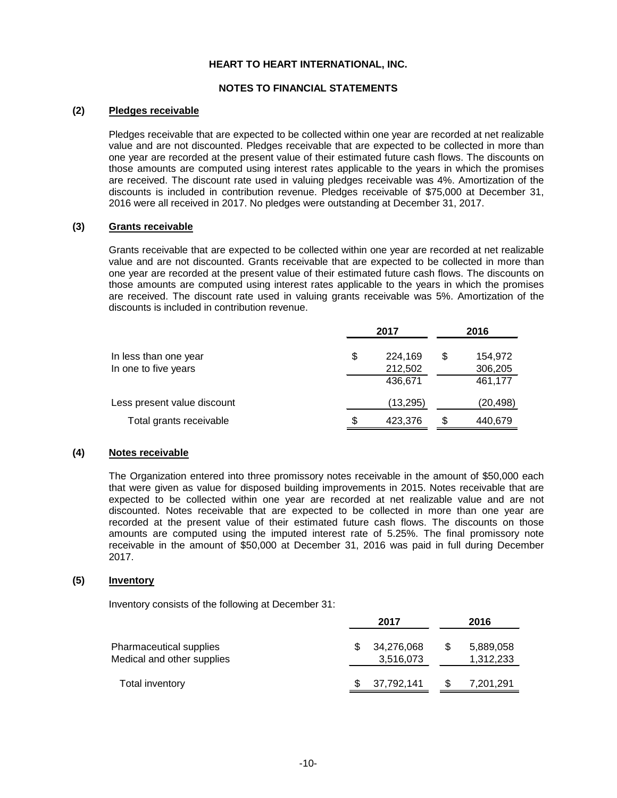#### **NOTES TO FINANCIAL STATEMENTS**

### **(2) Pledges receivable**

Pledges receivable that are expected to be collected within one year are recorded at net realizable value and are not discounted. Pledges receivable that are expected to be collected in more than one year are recorded at the present value of their estimated future cash flows. The discounts on those amounts are computed using interest rates applicable to the years in which the promises are received. The discount rate used in valuing pledges receivable was 4%. Amortization of the discounts is included in contribution revenue. Pledges receivable of \$75,000 at December 31, 2016 were all received in 2017. No pledges were outstanding at December 31, 2017.

#### **(3) Grants receivable**

Grants receivable that are expected to be collected within one year are recorded at net realizable value and are not discounted. Grants receivable that are expected to be collected in more than one year are recorded at the present value of their estimated future cash flows. The discounts on those amounts are computed using interest rates applicable to the years in which the promises are received. The discount rate used in valuing grants receivable was 5%. Amortization of the discounts is included in contribution revenue.

|                             |    | 2016      |    |          |
|-----------------------------|----|-----------|----|----------|
| In less than one year       | \$ | 224,169   | S  | 154,972  |
| In one to five years        |    | 212,502   |    | 306,205  |
|                             |    | 436,671   |    | 461,177  |
| Less present value discount |    | (13, 295) |    | (20,498) |
| Total grants receivable     | S  | 423,376   | ß. | 440,679  |

#### **(4) Notes receivable**

The Organization entered into three promissory notes receivable in the amount of \$50,000 each that were given as value for disposed building improvements in 2015. Notes receivable that are expected to be collected within one year are recorded at net realizable value and are not discounted. Notes receivable that are expected to be collected in more than one year are recorded at the present value of their estimated future cash flows. The discounts on those amounts are computed using the imputed interest rate of 5.25%. The final promissory note receivable in the amount of \$50,000 at December 31, 2016 was paid in full during December 2017.

#### **(5) Inventory**

Inventory consists of the following at December 31:

|                                                       | 2017 |                         |     | 2016                   |
|-------------------------------------------------------|------|-------------------------|-----|------------------------|
| Pharmaceutical supplies<br>Medical and other supplies |      | 34,276,068<br>3,516,073 | \$. | 5,889,058<br>1,312,233 |
| Total inventory                                       |      | 37,792,141              |     | 7,201,291              |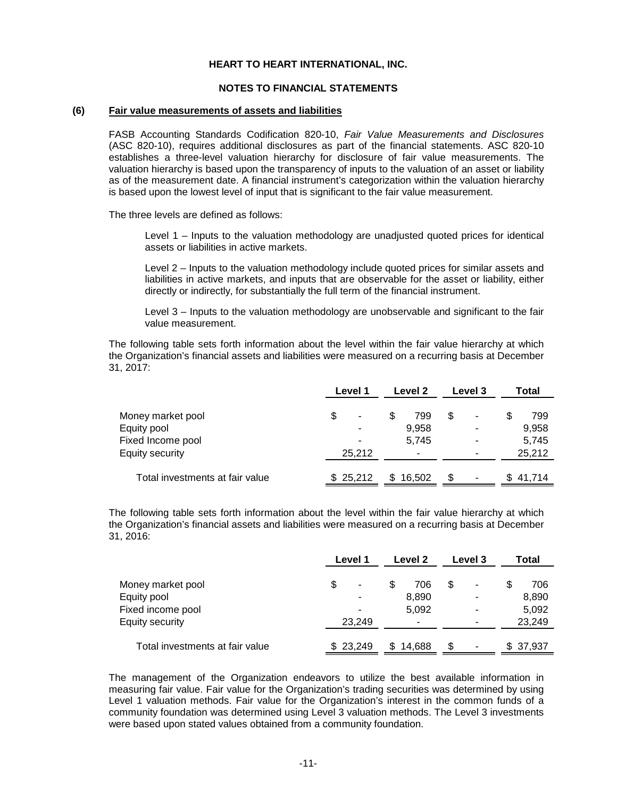#### **NOTES TO FINANCIAL STATEMENTS**

#### **(6) Fair value measurements of assets and liabilities**

FASB Accounting Standards Codification 820-10, *Fair Value Measurements and Disclosures* (ASC 820-10), requires additional disclosures as part of the financial statements. ASC 820-10 establishes a three-level valuation hierarchy for disclosure of fair value measurements. The valuation hierarchy is based upon the transparency of inputs to the valuation of an asset or liability as of the measurement date. A financial instrument's categorization within the valuation hierarchy is based upon the lowest level of input that is significant to the fair value measurement.

The three levels are defined as follows:

Level 1 – Inputs to the valuation methodology are unadjusted quoted prices for identical assets or liabilities in active markets.

Level 2 – Inputs to the valuation methodology include quoted prices for similar assets and liabilities in active markets, and inputs that are observable for the asset or liability, either directly or indirectly, for substantially the full term of the financial instrument.

Level 3 – Inputs to the valuation methodology are unobservable and significant to the fair value measurement.

The following table sets forth information about the level within the fair value hierarchy at which the Organization's financial assets and liabilities were measured on a recurring basis at December 31, 2017:

|                                 | Level 1  | Level 2    | <b>Level 3</b>           | Total    |
|---------------------------------|----------|------------|--------------------------|----------|
| Money market pool               | \$       | 799<br>\$. | $\overline{\phantom{0}}$ | 799      |
| Equity pool                     |          | 9,958      | -                        | 9,958    |
| Fixed Income pool               |          | 5,745      | ۰                        | 5,745    |
| Equity security                 | 25,212   |            | -                        | 25,212   |
| Total investments at fair value | \$25,212 | \$16.502   | ٠                        | \$41.714 |

The following table sets forth information about the level within the fair value hierarchy at which the Organization's financial assets and liabilities were measured on a recurring basis at December 31, 2016:

|                                 | Level 1<br>Level 2 |              | Level 3  | Total     |
|---------------------------------|--------------------|--------------|----------|-----------|
| Money market pool               | S<br>۰             | 706          | \$.<br>۰ | 706       |
| Equity pool                     |                    | 8,890        | ۰        | 8,890     |
| Fixed income pool               | -                  | 5,092        | ۰        | 5,092     |
| Equity security                 | 23.249             | ٠            |          | 23,249    |
| Total investments at fair value | \$23.249           | 14.688<br>S. | S<br>٠   | \$ 37,937 |

The management of the Organization endeavors to utilize the best available information in measuring fair value. Fair value for the Organization's trading securities was determined by using Level 1 valuation methods. Fair value for the Organization's interest in the common funds of a community foundation was determined using Level 3 valuation methods. The Level 3 investments were based upon stated values obtained from a community foundation.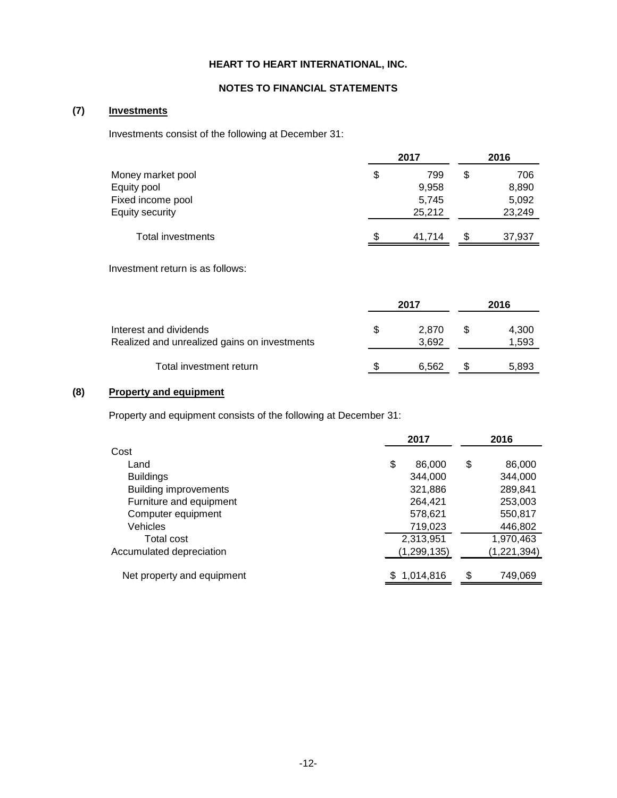### **NOTES TO FINANCIAL STATEMENTS**

# **(7) Investments**

Investments consist of the following at December 31:

|                   | 2017         |    |        |
|-------------------|--------------|----|--------|
| Money market pool | \$<br>799    | \$ | 706    |
| Equity pool       | 9,958        |    | 8,890  |
| Fixed income pool | 5,745        |    | 5,092  |
| Equity security   | 25.212       |    | 23,249 |
| Total investments | \$<br>41.714 | S  | 37,937 |

Investment return is as follows:

|                                                                        | 2017 |                | 2016           |
|------------------------------------------------------------------------|------|----------------|----------------|
| Interest and dividends<br>Realized and unrealized gains on investments | S    | 2.870<br>3,692 | 4,300<br>1,593 |
| Total investment return                                                |      | 6.562          | 5,893          |

# **(8) Property and equipment**

Property and equipment consists of the following at December 31:

|                              | 2017          | 2016 |               |
|------------------------------|---------------|------|---------------|
| Cost                         |               |      |               |
| Land                         | \$<br>86,000  | \$   | 86,000        |
| <b>Buildings</b>             | 344.000       |      | 344,000       |
| <b>Building improvements</b> | 321,886       |      | 289,841       |
| Furniture and equipment      | 264,421       |      | 253,003       |
| Computer equipment           | 578,621       |      | 550,817       |
| Vehicles                     | 719,023       |      | 446,802       |
| Total cost                   | 2,313,951     |      | 1,970,463     |
| Accumulated depreciation     | (1, 299, 135) |      | (1, 221, 394) |
| Net property and equipment   | \$1,014,816   | \$   | 749,069       |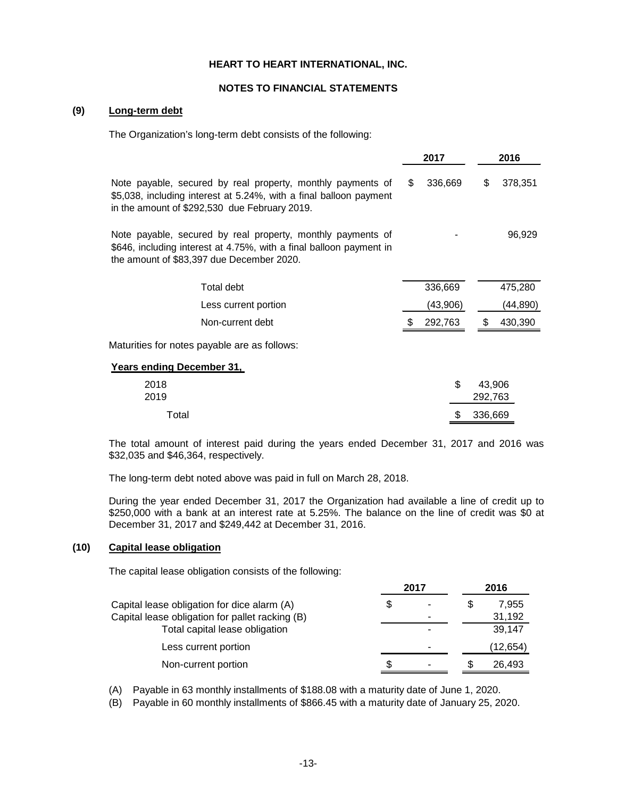#### **NOTES TO FINANCIAL STATEMENTS**

### **(9) Long-term debt**

The Organization's long-term debt consists of the following:

|                                                                                                                                                                                    |     | 2017     |         | 2016     |
|------------------------------------------------------------------------------------------------------------------------------------------------------------------------------------|-----|----------|---------|----------|
| Note payable, secured by real property, monthly payments of<br>\$5,038, including interest at 5.24%, with a final balloon payment<br>in the amount of \$292,530 due February 2019. | \$. | 336,669  | \$.     | 378,351  |
| Note payable, secured by real property, monthly payments of<br>\$646, including interest at 4.75%, with a final balloon payment in<br>the amount of \$83,397 due December 2020.    |     |          |         | 96,929   |
| Total debt                                                                                                                                                                         |     | 336,669  |         | 475,280  |
| Less current portion                                                                                                                                                               |     | (43,906) |         | (44,890) |
| Non-current debt                                                                                                                                                                   |     | 292,763  |         | 430,390  |
| Maturities for notes payable are as follows:                                                                                                                                       |     |          |         |          |
| Years ending December 31,                                                                                                                                                          |     |          |         |          |
| 2018<br>2019                                                                                                                                                                       |     | \$       | 292,763 | 43,906   |
| Total                                                                                                                                                                              |     | S        | 336,669 |          |

The total amount of interest paid during the years ended December 31, 2017 and 2016 was \$32,035 and \$46,364, respectively.

The long-term debt noted above was paid in full on March 28, 2018.

During the year ended December 31, 2017 the Organization had available a line of credit up to \$250,000 with a bank at an interest rate at 5.25%. The balance on the line of credit was \$0 at December 31, 2017 and \$249,442 at December 31, 2016.

#### **(10) Capital lease obligation**

The capital lease obligation consists of the following:

|                                                 | 2017 |   | 2016 |          |
|-------------------------------------------------|------|---|------|----------|
| Capital lease obligation for dice alarm (A)     | \$   | - |      | 7,955    |
| Capital lease obligation for pallet racking (B) |      | ۰ |      | 31,192   |
| Total capital lease obligation                  |      | ۰ |      | 39.147   |
| Less current portion                            |      | ۰ |      | (12,654) |
| Non-current portion                             | S.   |   |      | 26.493   |

(A) Payable in 63 monthly installments of \$188.08 with a maturity date of June 1, 2020.

(B) Payable in 60 monthly installments of \$866.45 with a maturity date of January 25, 2020.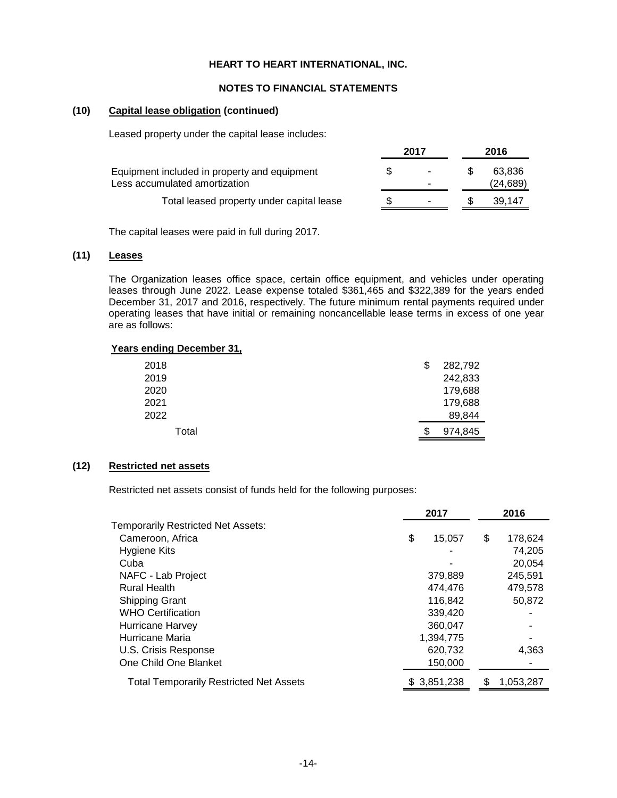#### **NOTES TO FINANCIAL STATEMENTS**

#### **(10) Capital lease obligation (continued)**

Leased property under the capital lease includes:

|                                                                               |  | 2017                                                 | 2016                |  |
|-------------------------------------------------------------------------------|--|------------------------------------------------------|---------------------|--|
| Equipment included in property and equipment<br>Less accumulated amortization |  | $\overline{\phantom{a}}$<br>$\overline{\phantom{a}}$ | 63.836<br>(24, 689) |  |
| Total leased property under capital lease                                     |  | $\overline{\phantom{a}}$                             | 39.147              |  |

The capital leases were paid in full during 2017.

# **(11) Leases**

The Organization leases office space, certain office equipment, and vehicles under operating leases through June 2022. Lease expense totaled \$361,465 and \$322,389 for the years ended December 31, 2017 and 2016, respectively. The future minimum rental payments required under operating leases that have initial or remaining noncancellable lease terms in excess of one year are as follows:

#### **Years ending December 31,**

| 2018  | S | 282,792 |
|-------|---|---------|
| 2019  |   | 242,833 |
| 2020  |   | 179,688 |
| 2021  |   | 179,688 |
| 2022  |   | 89,844  |
| Total | S | 974,845 |

### **(12) Restricted net assets**

Restricted net assets consist of funds held for the following purposes:

|                                                | 2017         |    | 2016      |  |
|------------------------------------------------|--------------|----|-----------|--|
| <b>Temporarily Restricted Net Assets:</b>      |              |    |           |  |
| Cameroon, Africa                               | \$<br>15,057 | \$ | 178,624   |  |
| Hygiene Kits                                   |              |    | 74,205    |  |
| Cuba                                           |              |    | 20.054    |  |
| NAFC - Lab Project                             | 379,889      |    | 245,591   |  |
| <b>Rural Health</b>                            | 474.476      |    | 479.578   |  |
| <b>Shipping Grant</b>                          | 116,842      |    | 50,872    |  |
| <b>WHO Certification</b>                       | 339,420      |    |           |  |
| Hurricane Harvey                               | 360,047      |    |           |  |
| Hurricane Maria                                | 1,394,775    |    |           |  |
| U.S. Crisis Response                           | 620,732      |    | 4,363     |  |
| One Child One Blanket                          | 150,000      |    |           |  |
| <b>Total Temporarily Restricted Net Assets</b> | \$ 3,851,238 | S  | 1.053.287 |  |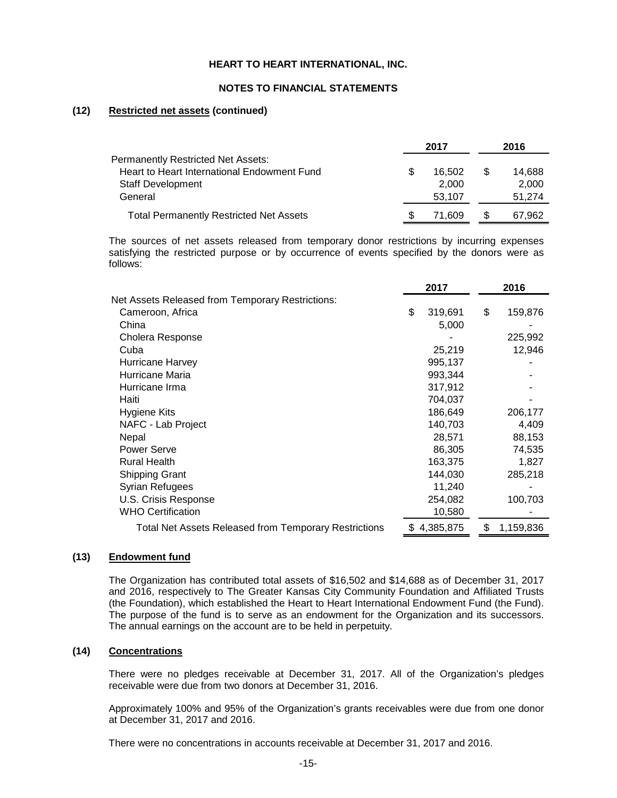#### **NOTES TO FINANCIAL STATEMENTS**

### **(12) Restricted net assets (continued)**

|                                                | 2017 |        | 2016 |        |
|------------------------------------------------|------|--------|------|--------|
| Permanently Restricted Net Assets:             |      |        |      |        |
| Heart to Heart International Endowment Fund    |      | 16.502 | S    | 14,688 |
| <b>Staff Development</b>                       |      | 2.000  |      | 2,000  |
| General                                        |      | 53.107 |      | 51.274 |
| <b>Total Permanently Restricted Net Assets</b> |      | 71.609 | S    | 67.962 |

The sources of net assets released from temporary donor restrictions by incurring expenses satisfying the restricted purpose or by occurrence of events specified by the donors were as follows:

|                                                       | 2017 |           | 2016            |  |
|-------------------------------------------------------|------|-----------|-----------------|--|
| Net Assets Released from Temporary Restrictions:      |      |           |                 |  |
| Cameroon, Africa                                      | \$   | 319,691   | \$<br>159,876   |  |
| China                                                 |      | 5,000     |                 |  |
| Cholera Response                                      |      |           | 225,992         |  |
| Cuba                                                  |      | 25,219    | 12,946          |  |
| Hurricane Harvey                                      |      | 995,137   |                 |  |
| Hurricane Maria                                       |      | 993,344   |                 |  |
| Hurricane Irma                                        |      | 317,912   |                 |  |
| Haiti                                                 |      | 704,037   |                 |  |
| Hygiene Kits                                          |      | 186,649   | 206,177         |  |
| NAFC - Lab Project                                    |      | 140,703   | 4,409           |  |
| Nepal                                                 |      | 28,571    | 88,153          |  |
| Power Serve                                           |      | 86,305    | 74,535          |  |
| <b>Rural Health</b>                                   |      | 163,375   | 1,827           |  |
| <b>Shipping Grant</b>                                 |      | 144,030   | 285,218         |  |
| Syrian Refugees                                       |      | 11,240    |                 |  |
| U.S. Crisis Response                                  |      | 254,082   | 100,703         |  |
| <b>WHO Certification</b>                              |      | 10,580    |                 |  |
| Total Net Assets Released from Temporary Restrictions | \$.  | 4,385,875 | \$<br>1,159,836 |  |

#### **(13) Endowment fund**

The Organization has contributed total assets of \$16,502 and \$14,688 as of December 31, 2017 and 2016, respectively to The Greater Kansas City Community Foundation and Affiliated Trusts (the Foundation), which established the Heart to Heart International Endowment Fund (the Fund). The purpose of the fund is to serve as an endowment for the Organization and its successors. The annual earnings on the account are to be held in perpetuity.

## **(14) Concentrations**

There were no pledges receivable at December 31, 2017. All of the Organization's pledges receivable were due from two donors at December 31, 2016.

Approximately 100% and 95% of the Organization's grants receivables were due from one donor at December 31, 2017 and 2016.

There were no concentrations in accounts receivable at December 31, 2017 and 2016.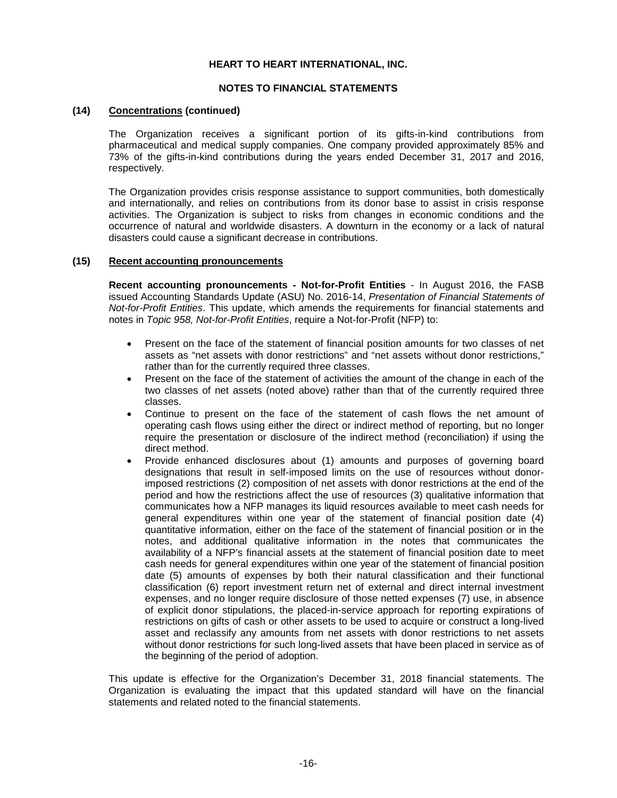#### **NOTES TO FINANCIAL STATEMENTS**

#### **(14) Concentrations (continued)**

The Organization receives a significant portion of its gifts-in-kind contributions from pharmaceutical and medical supply companies. One company provided approximately 85% and 73% of the gifts-in-kind contributions during the years ended December 31, 2017 and 2016, respectively.

The Organization provides crisis response assistance to support communities, both domestically and internationally, and relies on contributions from its donor base to assist in crisis response activities. The Organization is subject to risks from changes in economic conditions and the occurrence of natural and worldwide disasters. A downturn in the economy or a lack of natural disasters could cause a significant decrease in contributions.

### **(15) Recent accounting pronouncements**

**Recent accounting pronouncements - Not-for-Profit Entities** - In August 2016, the FASB issued Accounting Standards Update (ASU) No. 2016-14, *Presentation of Financial Statements of Not-for-Profit Entities*. This update, which amends the requirements for financial statements and notes in *Topic 958, Not-for-Profit Entities*, require a Not-for-Profit (NFP) to:

- Present on the face of the statement of financial position amounts for two classes of net assets as "net assets with donor restrictions" and "net assets without donor restrictions," rather than for the currently required three classes.
- Present on the face of the statement of activities the amount of the change in each of the two classes of net assets (noted above) rather than that of the currently required three classes.
- Continue to present on the face of the statement of cash flows the net amount of operating cash flows using either the direct or indirect method of reporting, but no longer require the presentation or disclosure of the indirect method (reconciliation) if using the direct method.
- Provide enhanced disclosures about (1) amounts and purposes of governing board designations that result in self-imposed limits on the use of resources without donorimposed restrictions (2) composition of net assets with donor restrictions at the end of the period and how the restrictions affect the use of resources (3) qualitative information that communicates how a NFP manages its liquid resources available to meet cash needs for general expenditures within one year of the statement of financial position date (4) quantitative information, either on the face of the statement of financial position or in the notes, and additional qualitative information in the notes that communicates the availability of a NFP's financial assets at the statement of financial position date to meet cash needs for general expenditures within one year of the statement of financial position date (5) amounts of expenses by both their natural classification and their functional classification (6) report investment return net of external and direct internal investment expenses, and no longer require disclosure of those netted expenses (7) use, in absence of explicit donor stipulations, the placed-in-service approach for reporting expirations of restrictions on gifts of cash or other assets to be used to acquire or construct a long-lived asset and reclassify any amounts from net assets with donor restrictions to net assets without donor restrictions for such long-lived assets that have been placed in service as of the beginning of the period of adoption.

This update is effective for the Organization's December 31, 2018 financial statements. The Organization is evaluating the impact that this updated standard will have on the financial statements and related noted to the financial statements.